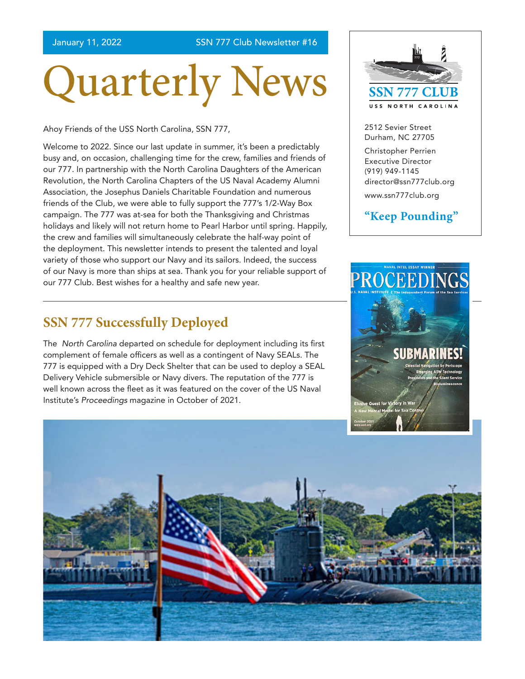January 11, 2022 SSN 777 Club Newsletter #16

# Quarterly News

Ahoy Friends of the USS North Carolina, SSN 777,

Welcome to 2022. Since our last update in summer, it's been a predictably busy and, on occasion, challenging time for the crew, families and friends of our 777. In partnership with the North Carolina Daughters of the American Revolution, the North Carolina Chapters of the US Naval Academy Alumni Association, the Josephus Daniels Charitable Foundation and numerous friends of the Club, we were able to fully support the 777's 1/2-Way Box campaign. The 777 was at-sea for both the Thanksgiving and Christmas holidays and likely will not return home to Pearl Harbor until spring. Happily, the crew and families will simultaneously celebrate the half-way point of the deployment. This newsletter intends to present the talented and loyal variety of those who support our Navy and its sailors. Indeed, the success of our Navy is more than ships at sea. Thank you for your reliable support of our 777 Club. Best wishes for a healthy and safe new year.

#### **SSN 777 Successfully Deployed**

The *North Carolina* departed on schedule for deployment including its first complement of female officers as well as a contingent of Navy SEALs. The 777 is equipped with a Dry Deck Shelter that can be used to deploy a SEAL Delivery Vehicle submersible or Navy divers. The reputation of the 777 is well known across the fleet as it was featured on the cover of the US Naval Institute's *Proceedings* magazine in October of 2021.



2512 Sevier Street Durham, NC 27705

Christopher Perrien Executive Director (919) 949-1145 [director@ssn777club.org](mailto:director%40ssn777club.org?subject=)

[www.ssn777club.org](https://www.ssn777club.org/)

#### **"Keep Pounding"**



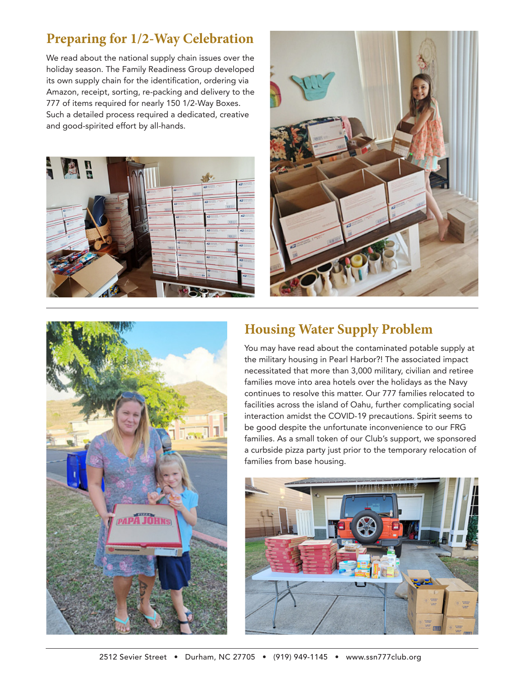#### **Preparing for 1/2-Way Celebration**

We read about the national supply chain issues over the holiday season. The Family Readiness Group developed its own supply chain for the identification, ordering via Amazon, receipt, sorting, re-packing and delivery to the 777 of items required for nearly 150 1/2-Way Boxes. Such a detailed process required a dedicated, creative and good-spirited effort by all-hands.







#### **Housing Water Supply Problem**

You may have read about the contaminated potable supply at the military housing in Pearl Harbor?! The associated impact necessitated that more than 3,000 military, civilian and retiree families move into area hotels over the holidays as the Navy continues to resolve this matter. Our 777 families relocated to facilities across the island of Oahu, further complicating social interaction amidst the COVID-19 precautions. Spirit seems to be good despite the unfortunate inconvenience to our FRG families. As a small token of our Club's support, we sponsored a curbside pizza party just prior to the temporary relocation of families from base housing.

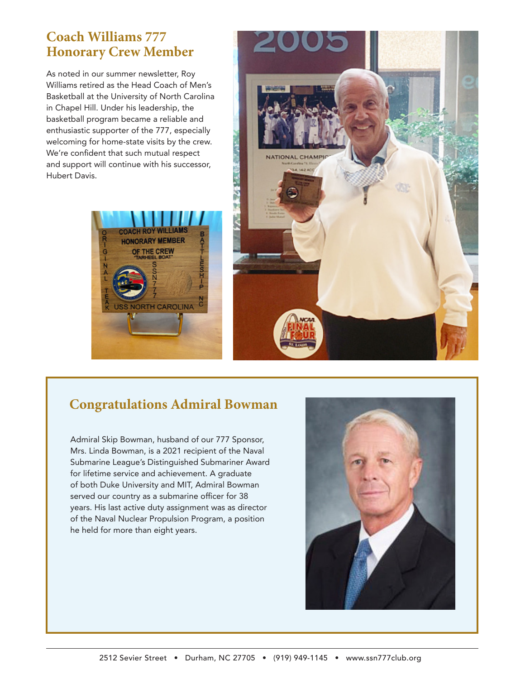#### **Coach Williams 777 Honorary Crew Member**

As noted in our summer newsletter, Roy Williams retired as the Head Coach of Men's Basketball at the University of North Carolina in Chapel Hill. Under his leadership, the basketball program became a reliable and enthusiastic supporter of the 777, especially welcoming for home-state visits by the crew. We're confident that such mutual respect and support will continue with his successor, Hubert Davis.





#### **Congratulations Admiral Bowman**

Admiral Skip Bowman, husband of our 777 Sponsor, Mrs. Linda Bowman, is a 2021 recipient of the Naval Submarine League's Distinguished Submariner Award for lifetime service and achievement. A graduate of both Duke University and MIT, Admiral Bowman served our country as a submarine officer for 38 years. His last active duty assignment was as director of the Naval Nuclear Propulsion Program, a position he held for more than eight years.